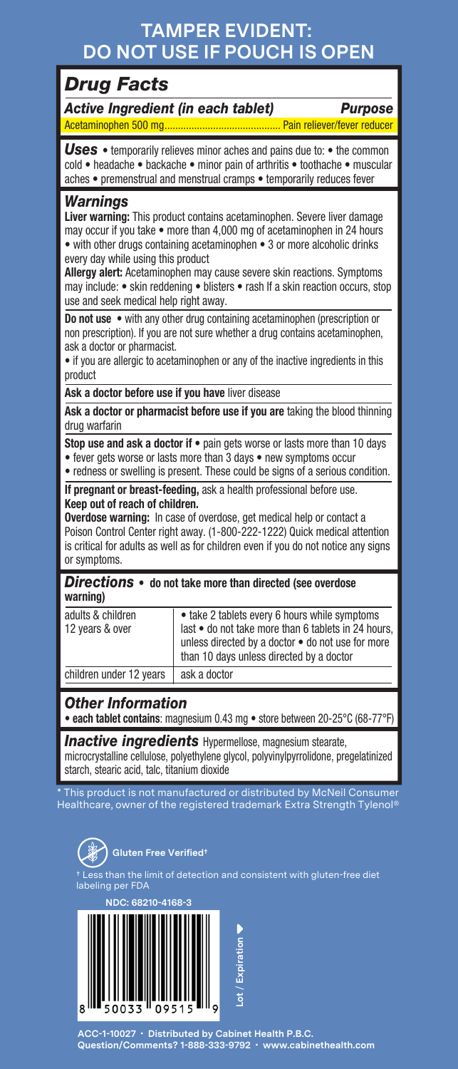## **TAMPER EVIDENT: DO NOT USE IF POUCH IS OPEN**

## *Drug Facts*

*Active Ingredient (in each tablet) Purpose*

Acetaminophen 500 mg........................................... Pain reliever/fever reducer

**Uses** • temporarily relieves minor aches and pains due to: • the common cold • headache • backache • minor pain of arthritis • toothache • muscular aches • premenstrual and menstrual cramps • temporarily reduces fever

### *Warnings*

**Liver warning:** This product contains acetaminophen. Severe liver damage may occur if you take • more than 4,000 mg of acetaminophen in 24 hours • with other drugs containing acetaminophen • 3 or more alcoholic drinks every day while using this product

**Allergy alert:** Acetaminophen may cause severe skin reactions. Symptoms may include: • skin reddening • blisters • rash If a skin reaction occurs, stop use and seek medical help right away.

**Do not use** • with any other drug containing acetaminophen (prescription or non prescription). If you are not sure whether a drug contains acetaminophen, ask a doctor or pharmacist.

• if you are allergic to acetaminophen or any of the inactive ingredients in this product

**Ask a doctor before use if you have** liver disease

**Ask a doctor or pharmacist before use if you are** taking the blood thinning drug warfarin

**Stop use and ask a doctor if** • pain gets worse or lasts more than 10 days • fever gets worse or lasts more than 3 days • new symptoms occur • redness or swelling is present. These could be signs of a serious condition.

**If pregnant or breast-feeding,** ask a health professional before use. **Keep out of reach of children.** 

**Overdose warning:** In case of overdose, get medical help or contact a Poison Control Center right away. (1-800-222-1222) Quick medical attention is critical for adults as well as for children even if you do not notice any signs or symptoms.

*Directions* • **do not take more than directed (see overdose warning)**

| adults & children<br>12 years & over | • take 2 tablets every 6 hours while symptoms<br>last . do not take more than 6 tablets in 24 hours,<br>unless directed by a doctor . do not use for more<br>than 10 days unless directed by a doctor |
|--------------------------------------|-------------------------------------------------------------------------------------------------------------------------------------------------------------------------------------------------------|
| children under 12 years              | ask a doctor                                                                                                                                                                                          |

### *Other Information*

• **each tablet contains**: magnesium 0.43 mg • store between 20-25°C (68-77°F)

*Inactive ingredients* Hypermellose, magnesium stearate, microcrystalline cellulose, polyethylene glycol, polyvinylpyrrolidone, pregelatinized starch, stearic acid, talc, titanium dioxide

\* This product is not manufactured or distributed by McNeil Consumer Healthcare, owner of the registered trademark Extra Strength Tylenol®



ing per FDA



**ACC-1-10027 • Distributed by Cabinet Health P.B.C. Question/Comments? 1-888-333-9792 • www.cabinethealth.com**